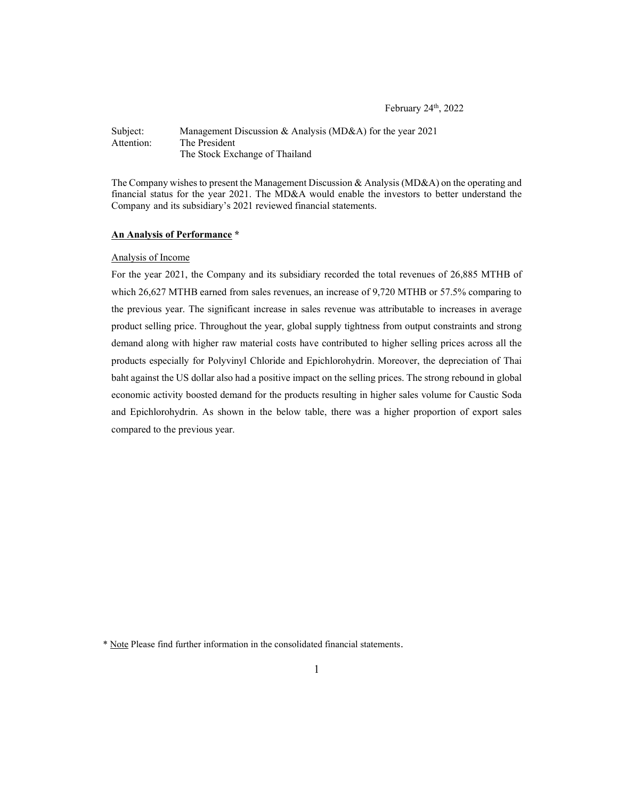February 24th, 2022

Subject: Management Discussion & Analysis (MD&A) for the year 2021 Attention: The President The Stock Exchange of Thailand

The Company wishes to present the Management Discussion & Analysis (MD&A) on the operating and financial status for the year 2021. The MD&A would enable the investors to better understand the Company and its subsidiary's 2021 reviewed financial statements.

#### An Analysis of Performance \*

### Analysis of Income

For the year 2021, the Company and its subsidiary recorded the total revenues of 26,885 MTHB of which 26,627 MTHB earned from sales revenues, an increase of 9,720 MTHB or 57.5% comparing to the previous year. The significant increase in sales revenue was attributable to increases in average product selling price. Throughout the year, global supply tightness from output constraints and strong demand along with higher raw material costs have contributed to higher selling prices across all the products especially for Polyvinyl Chloride and Epichlorohydrin. Moreover, the depreciation of Thai baht against the US dollar also had a positive impact on the selling prices. The strong rebound in global economic activity boosted demand for the products resulting in higher sales volume for Caustic Soda and Epichlorohydrin. As shown in the below table, there was a higher proportion of export sales compared to the previous year.

<sup>\*</sup> Note Please find further information in the consolidated financial statements.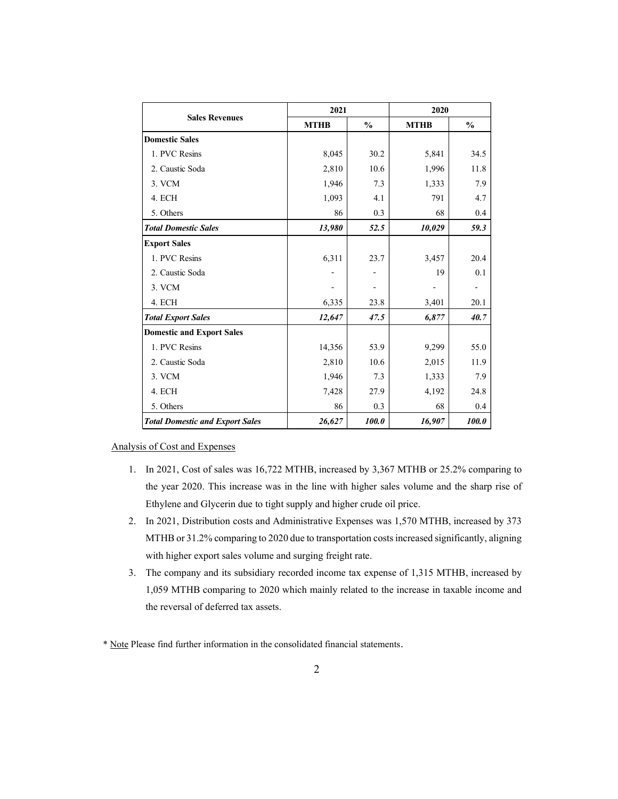|                                        | 2021                     |                          | 2020        |               |
|----------------------------------------|--------------------------|--------------------------|-------------|---------------|
| <b>Sales Revenues</b>                  | <b>MTHB</b>              | $\frac{0}{0}$            | <b>MTHB</b> | $\frac{0}{0}$ |
| <b>Domestic Sales</b>                  |                          |                          |             |               |
| 1. PVC Resins                          | 8,045                    | 30.2                     | 5,841       | 34.5          |
| 2. Caustic Soda                        | 2,810                    | 10.6                     | 1,996       | 11.8          |
| 3. VCM                                 | 1,946                    | 7.3                      | 1,333       | 7.9           |
| 4. ECH                                 | 1,093                    | 4.1                      | 791         | 4.7           |
| 5. Others                              | 86                       | 0.3                      | 68          | 0.4           |
| <b>Total Domestic Sales</b>            | 13,980                   | 52.5                     | 10,029      | 59.3          |
| <b>Export Sales</b>                    |                          |                          |             |               |
| 1. PVC Resins                          | 6,311                    | 23.7                     | 3,457       | 20.4          |
| 2. Caustic Soda                        | $\overline{\phantom{a}}$ | $\overline{\phantom{a}}$ | 19          | 0.1           |
| 3. VCM                                 | $\overline{\phantom{a}}$ | $\overline{\phantom{a}}$ | $\sim$      | $\sim$        |
| 4. ECH                                 | 6,335                    | 23.8                     | 3,401       | 20.1          |
| <b>Total Export Sales</b>              | 12,647                   | 47.5                     | 6,877       | 40.7          |
| <b>Domestic and Export Sales</b>       |                          |                          |             |               |
| 1. PVC Resins                          | 14,356                   | 53.9                     | 9,299       | 55.0          |
| 2. Caustic Soda                        | 2,810                    | 10.6                     | 2,015       | 11.9          |
| 3. VCM                                 | 1,946                    | 7.3                      | 1,333       | 7.9           |
| 4. ECH                                 | 7,428                    | 27.9                     | 4,192       | 24.8          |
| 5. Others                              | 86                       | 0.3                      | 68          | 0.4           |
| <b>Total Domestic and Export Sales</b> | 26,627                   | 100.0                    | 16,907      | 100.0         |

Analysis of Cost and Expenses

- 1. In 2021, Cost of sales was 16,722 MTHB, increased by 3,367 MTHB or 25.2% comparing to the year 2020. This increase was in the line with higher sales volume and the sharp rise of Ethylene and Glycerin due to tight supply and higher crude oil price.
- 2. In 2021, Distribution costs and Administrative Expenses was 1,570 MTHB, increased by 373 MTHB or 31.2% comparing to 2020 due to transportation costs increased significantly, aligning with higher export sales volume and surging freight rate.
- 3. The company and its subsidiary recorded income tax expense of 1,315 MTHB, increased by 1,059 MTHB comparing to 2020 which mainly related to the increase in taxable income and the reversal of deferred tax assets.
- \* Note Please find further information in the consolidated financial statements.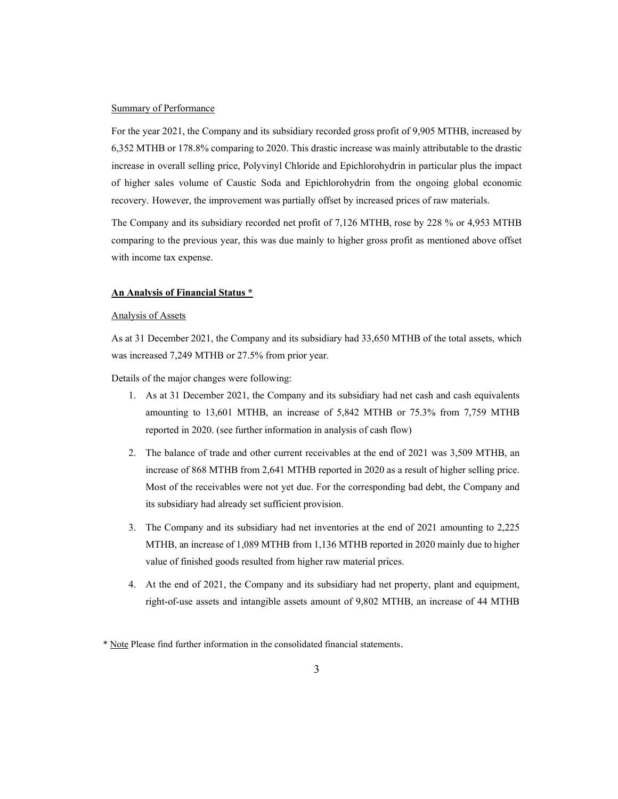### Summary of Performance

For the year 2021, the Company and its subsidiary recorded gross profit of 9,905 MTHB, increased by 6,352 MTHB or 178.8% comparing to 2020. This drastic increase was mainly attributable to the drastic increase in overall selling price, Polyvinyl Chloride and Epichlorohydrin in particular plus the impact of higher sales volume of Caustic Soda and Epichlorohydrin from the ongoing global economic recovery. However, the improvement was partially offset by increased prices of raw materials.

The Company and its subsidiary recorded net profit of 7,126 MTHB, rose by 228 % or 4,953 MTHB comparing to the previous year, this was due mainly to higher gross profit as mentioned above offset with income tax expense.

#### An Analysis of Financial Status \*

# Analysis of Assets

As at 31 December 2021, the Company and its subsidiary had 33,650 MTHB of the total assets, which was increased 7,249 MTHB or 27.5% from prior year.

Details of the major changes were following:

- 1. As at 31 December 2021, the Company and its subsidiary had net cash and cash equivalents amounting to 13,601 MTHB, an increase of 5,842 MTHB or 75.3% from 7,759 MTHB reported in 2020. (see further information in analysis of cash flow)
- 2. The balance of trade and other current receivables at the end of 2021 was 3,509 MTHB, an increase of 868 MTHB from 2,641 MTHB reported in 2020 as a result of higher selling price. Most of the receivables were not yet due. For the corresponding bad debt, the Company and its subsidiary had already set sufficient provision.
- 3. The Company and its subsidiary had net inventories at the end of 2021 amounting to 2,225 MTHB, an increase of 1,089 MTHB from 1,136 MTHB reported in 2020 mainly due to higher value of finished goods resulted from higher raw material prices.
- 4. At the end of 2021, the Company and its subsidiary had net property, plant and equipment, right-of-use assets and intangible assets amount of 9,802 MTHB, an increase of 44 MTHB

<sup>\*</sup> Note Please find further information in the consolidated financial statements.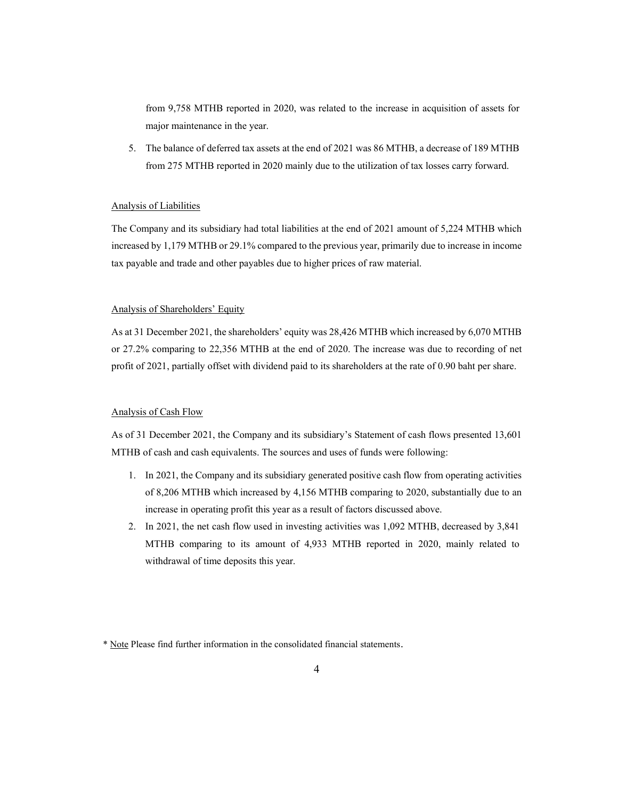from 9,758 MTHB reported in 2020, was related to the increase in acquisition of assets for major maintenance in the year.

5. The balance of deferred tax assets at the end of 2021 was 86 MTHB, a decrease of 189 MTHB from 275 MTHB reported in 2020 mainly due to the utilization of tax losses carry forward.

# Analysis of Liabilities

The Company and its subsidiary had total liabilities at the end of 2021 amount of 5,224 MTHB which increased by 1,179 MTHB or 29.1% compared to the previous year, primarily due to increase in income tax payable and trade and other payables due to higher prices of raw material.

### Analysis of Shareholders' Equity

As at 31 December 2021, the shareholders' equity was 28,426 MTHB which increased by 6,070 MTHB or 27.2% comparing to 22,356 MTHB at the end of 2020. The increase was due to recording of net profit of 2021, partially offset with dividend paid to its shareholders at the rate of 0.90 baht per share.

### Analysis of Cash Flow

As of 31 December 2021, the Company and its subsidiary's Statement of cash flows presented 13,601 MTHB of cash and cash equivalents. The sources and uses of funds were following:

- 1. In 2021, the Company and its subsidiary generated positive cash flow from operating activities of 8,206 MTHB which increased by 4,156 MTHB comparing to 2020, substantially due to an increase in operating profit this year as a result of factors discussed above.
- 2. In 2021, the net cash flow used in investing activities was 1,092 MTHB, decreased by 3,841 MTHB comparing to its amount of 4,933 MTHB reported in 2020, mainly related to withdrawal of time deposits this year.

<sup>\*</sup> Note Please find further information in the consolidated financial statements.